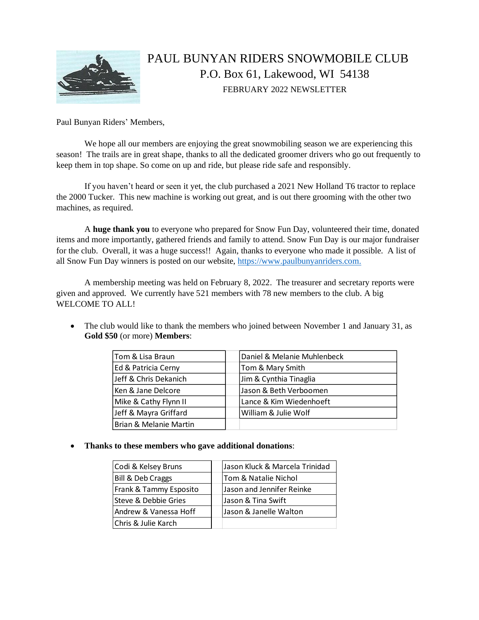

## PAUL BUNYAN RIDERS SNOWMOBILE CLUB P.O. Box 61, Lakewood, WI 54138 FEBRUARY 2022 NEWSLETTER

Paul Bunyan Riders' Members,

We hope all our members are enjoying the great snowmobiling season we are experiencing this season! The trails are in great shape, thanks to all the dedicated groomer drivers who go out frequently to keep them in top shape. So come on up and ride, but please ride safe and responsibly.

If you haven't heard or seen it yet, the club purchased a 2021 New Holland T6 tractor to replace the 2000 Tucker. This new machine is working out great, and is out there grooming with the other two machines, as required.

A **huge thank you** to everyone who prepared for Snow Fun Day, volunteered their time, donated items and more importantly, gathered friends and family to attend. Snow Fun Day is our major fundraiser for the club. Overall, it was a huge success!! Again, thanks to everyone who made it possible. A list of all Snow Fun Day winners is posted on our website, [https://www.paulbunyanriders.com.](https://www.paulbunyanriders.com./)

A membership meeting was held on February 8, 2022. The treasurer and secretary reports were given and approved. We currently have 521 members with 78 new members to the club. A big WELCOME TO ALL!

• The club would like to thank the members who joined between November 1 and January 31, as **Gold \$50** (or more) **Members**:

| Tom & Lisa Braun       | Daniel & Melanie Muhlenbeck |
|------------------------|-----------------------------|
| Ed & Patricia Cerny    | Tom & Mary Smith            |
| Jeff & Chris Dekanich  | Jim & Cynthia Tinaglia      |
| Ken & Jane Delcore     | Jason & Beth Verboomen      |
| Mike & Cathy Flynn II  | Lance & Kim Wiedenhoeft     |
| Jeff & Mayra Griffard  | William & Julie Wolf        |
| Brian & Melanie Martin |                             |

• **Thanks to these members who gave additional donations**:

| Codi & Kelsey Bruns    | Jason Kluck & Marcela Trinidad |
|------------------------|--------------------------------|
| Bill & Deb Craggs      | Tom & Natalie Nichol           |
| Frank & Tammy Esposito | Jason and Jennifer Reinke      |
| Steve & Debbie Gries   | Jason & Tina Swift             |
| Andrew & Vanessa Hoff  | Jason & Janelle Walton         |
| Chris & Julie Karch    |                                |